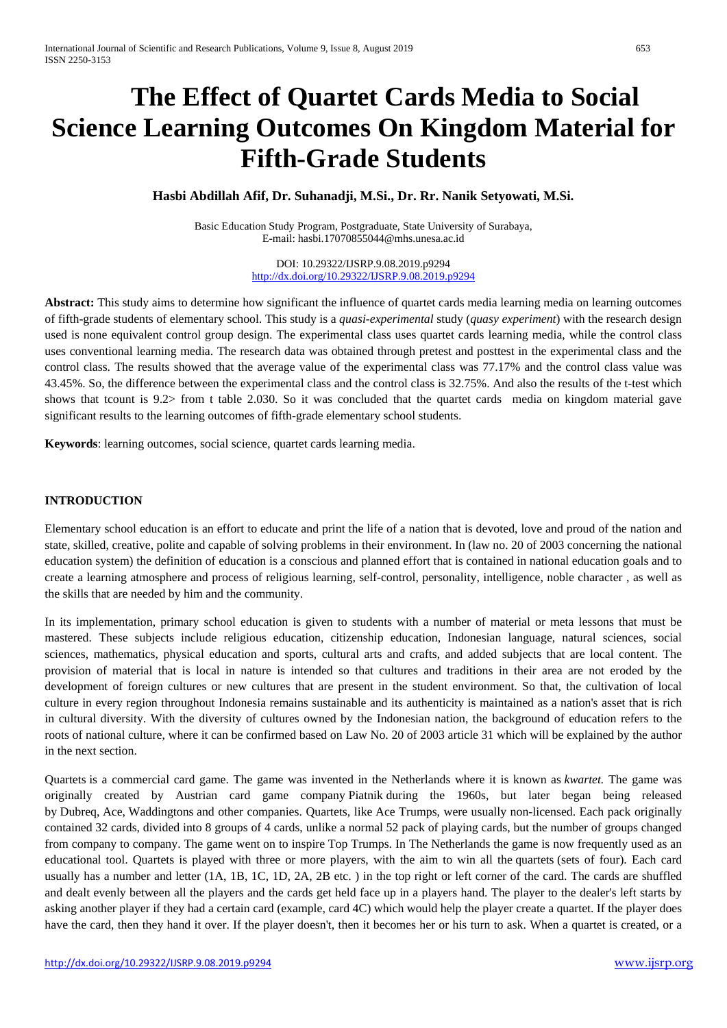# **The Effect of Quartet Cards Media to Social Science Learning Outcomes On Kingdom Material for Fifth-Grade Students**

# **Hasbi Abdillah Afif, Dr. Suhanadji, M.Si., Dr. Rr. Nanik Setyowati, M.Si.**

Basic Education Study Program, Postgraduate, State University of Surabaya, E-mail: [hasbi.17070855044@mhs.unesa.ac.id](mailto:hasbi.17070855044@mhs.unesa.ac.id)

> DOI: 10.29322/IJSRP.9.08.2019.p9294 <http://dx.doi.org/10.29322/IJSRP.9.08.2019.p9294>

**Abstract:** This study aims to determine how significant the influence of quartet cards media learning media on learning outcomes of fifth-grade students of elementary school. This study is a *quasi-experimental* study (*quasy experiment*) with the research design used is none equivalent control group design. The experimental class uses quartet cards learning media, while the control class uses conventional learning media. The research data was obtained through pretest and posttest in the experimental class and the control class. The results showed that the average value of the experimental class was 77.17% and the control class value was 43.45%. So, the difference between the experimental class and the control class is 32.75%. And also the results of the t-test which shows that tcount is 9.2> from t table 2.030. So it was concluded that the quartet cards media on kingdom material gave significant results to the learning outcomes of fifth-grade elementary school students.

**Keywords**: learning outcomes, social science, quartet cards learning media.

### **INTRODUCTION**

Elementary school education is an effort to educate and print the life of a nation that is devoted, love and proud of the nation and state, skilled, creative, polite and capable of solving problems in their environment. In (law no. 20 of 2003 concerning the national education system) the definition of education is a conscious and planned effort that is contained in national education goals and to create a learning atmosphere and process of religious learning, self-control, personality, intelligence, noble character , as well as the skills that are needed by him and the community.

In its implementation, primary school education is given to students with a number of material or meta lessons that must be mastered. These subjects include religious education, citizenship education, Indonesian language, natural sciences, social sciences, mathematics, physical education and sports, cultural arts and crafts, and added subjects that are local content. The provision of material that is local in nature is intended so that cultures and traditions in their area are not eroded by the development of foreign cultures or new cultures that are present in the student environment. So that, the cultivation of local culture in every region throughout Indonesia remains sustainable and its authenticity is maintained as a nation's asset that is rich in cultural diversity. With the diversity of cultures owned by the Indonesian nation, the background of education refers to the roots of national culture, where it can be confirmed based on Law No. 20 of 2003 article 31 which will be explained by the author in the next section.

Quartets is a commercial card game. The game was invented in the Netherlands where it is known as *kwartet.* The game was originally created by Austrian card game company [Piatnik](https://en.wikipedia.org/wiki/Piatnik) during the 1960s, but later began being released by [Dubreq,](https://en.wikipedia.org/w/index.php?title=Dubreq&action=edit&redlink=1) [Ace,](https://en.wikipedia.org/wiki/Ace_Trumps) [Waddingtons](https://en.wikipedia.org/wiki/Waddingtons) and other companies. Quartets, like [Ace Trumps,](https://en.wikipedia.org/wiki/Ace_Trumps) were usually non-licensed. Each pack originally contained 32 cards, divided into 8 groups of 4 cards, unlike a normal [52 pack of playing cards,](https://en.wikipedia.org/wiki/Pack_of_cards) but the number of groups changed from company to company. The game went on to inspire [Top Trumps.](https://en.wikipedia.org/wiki/Top_Trumps) In The Netherlands the game is now frequently used as an educational tool. Quartets is played with three or more players, with the aim to win all the [quartets](https://en.wikipedia.org/wiki/Quartet_(cards)) (sets of four). Each card usually has a number and letter (1A, 1B, 1C, 1D, 2A, 2B etc. ) in the top right or left corner of the card. The cards are shuffled and dealt evenly between all the players and the cards get held face up in a players hand. The player to the dealer's left starts by asking another player if they had a certain card (example, card 4C) which would help the player create a quartet. If the player does have the card, then they hand it over. If the player doesn't, then it becomes her or his turn to ask. When a quartet is created, or a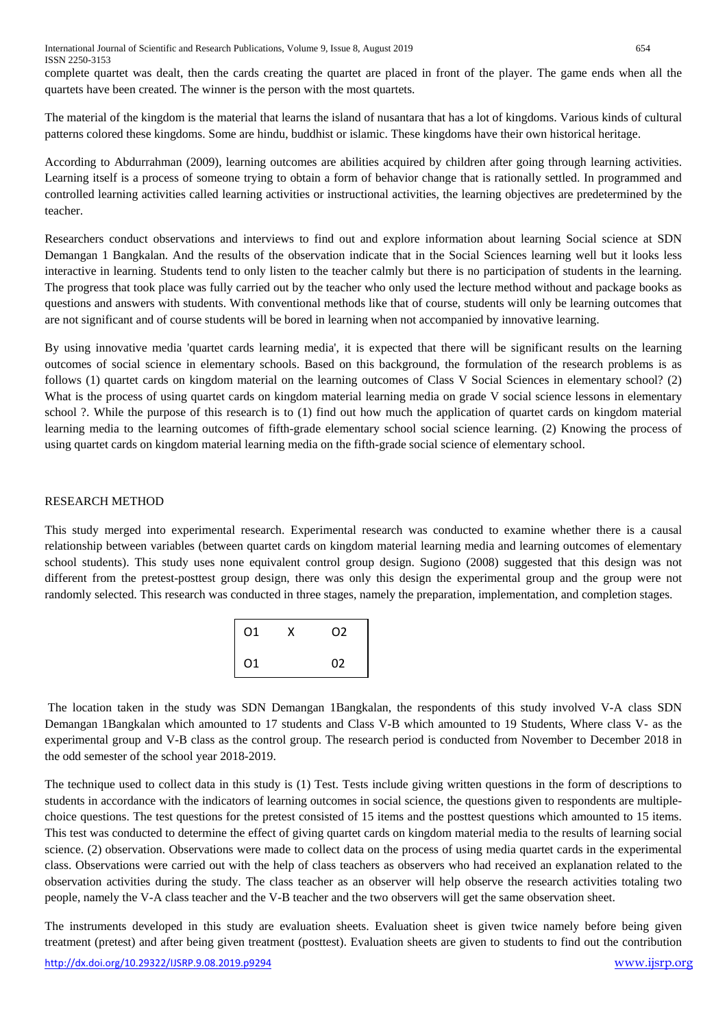complete quartet was dealt, then the cards creating the quartet are placed in front of the player. The game ends when all the quartets have been created. The winner is the person with the most quartets.

The material of the kingdom is the material that learns the island of nusantara that has a lot of kingdoms. Various kinds of cultural patterns colored these kingdoms. Some are hindu, buddhist or islamic. These kingdoms have their own historical heritage.

According to Abdurrahman (2009), learning outcomes are abilities acquired by children after going through learning activities. Learning itself is a process of someone trying to obtain a form of behavior change that is rationally settled. In programmed and controlled learning activities called learning activities or instructional activities, the learning objectives are predetermined by the teacher.

Researchers conduct observations and interviews to find out and explore information about learning Social science at SDN Demangan 1 Bangkalan. And the results of the observation indicate that in the Social Sciences learning well but it looks less interactive in learning. Students tend to only listen to the teacher calmly but there is no participation of students in the learning. The progress that took place was fully carried out by the teacher who only used the lecture method without and package books as questions and answers with students. With conventional methods like that of course, students will only be learning outcomes that are not significant and of course students will be bored in learning when not accompanied by innovative learning.

By using innovative media 'quartet cards learning media', it is expected that there will be significant results on the learning outcomes of social science in elementary schools. Based on this background, the formulation of the research problems is as follows (1) quartet cards on kingdom material on the learning outcomes of Class V Social Sciences in elementary school? (2) What is the process of using quartet cards on kingdom material learning media on grade V social science lessons in elementary school ?. While the purpose of this research is to (1) find out how much the application of quartet cards on kingdom material learning media to the learning outcomes of fifth-grade elementary school social science learning. (2) Knowing the process of using quartet cards on kingdom material learning media on the fifth-grade social science of elementary school.

## RESEARCH METHOD

This study merged into experimental research. Experimental research was conducted to examine whether there is a causal relationship between variables (between quartet cards on kingdom material learning media and learning outcomes of elementary school students). This study uses none equivalent control group design. Sugiono (2008) suggested that this design was not different from the pretest-posttest group design, there was only this design the experimental group and the group were not randomly selected. This research was conducted in three stages, namely the preparation, implementation, and completion stages.

| 01 | X | O2 |
|----|---|----|
| 01 |   | 02 |

The location taken in the study was SDN Demangan 1Bangkalan, the respondents of this study involved V-A class SDN Demangan 1Bangkalan which amounted to 17 students and Class V-B which amounted to 19 Students, Where class V- as the experimental group and V-B class as the control group. The research period is conducted from November to December 2018 in the odd semester of the school year 2018-2019.

The technique used to collect data in this study is (1) Test. Tests include giving written questions in the form of descriptions to students in accordance with the indicators of learning outcomes in social science, the questions given to respondents are multiplechoice questions. The test questions for the pretest consisted of 15 items and the posttest questions which amounted to 15 items. This test was conducted to determine the effect of giving quartet cards on kingdom material media to the results of learning social science. (2) observation. Observations were made to collect data on the process of using media quartet cards in the experimental class. Observations were carried out with the help of class teachers as observers who had received an explanation related to the observation activities during the study. The class teacher as an observer will help observe the research activities totaling two people, namely the V-A class teacher and the V-B teacher and the two observers will get the same observation sheet.

The instruments developed in this study are evaluation sheets. Evaluation sheet is given twice namely before being given treatment (pretest) and after being given treatment (posttest). Evaluation sheets are given to students to find out the contribution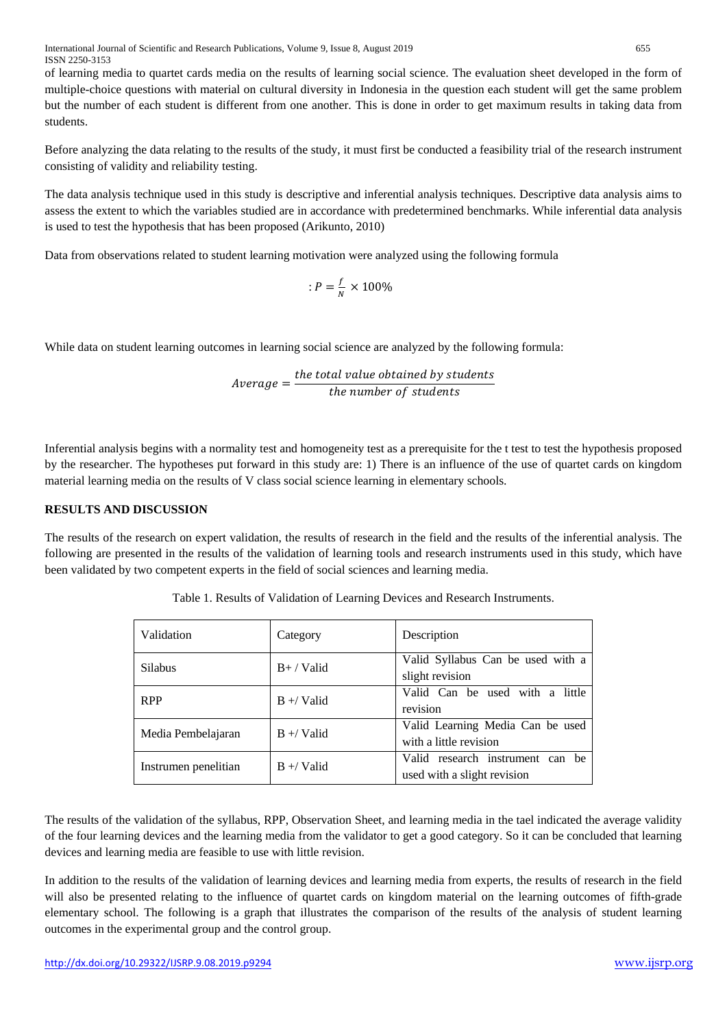of learning media to quartet cards media on the results of learning social science. The evaluation sheet developed in the form of multiple-choice questions with material on cultural diversity in Indonesia in the question each student will get the same problem but the number of each student is different from one another. This is done in order to get maximum results in taking data from students.

Before analyzing the data relating to the results of the study, it must first be conducted a feasibility trial of the research instrument consisting of validity and reliability testing.

The data analysis technique used in this study is descriptive and inferential analysis techniques. Descriptive data analysis aims to assess the extent to which the variables studied are in accordance with predetermined benchmarks. While inferential data analysis is used to test the hypothesis that has been proposed (Arikunto, 2010)

Data from observations related to student learning motivation were analyzed using the following formula

$$
:P=\frac{f}{N}\times100\%
$$

While data on student learning outcomes in learning social science are analyzed by the following formula:

$$
Average = \frac{the\ total\ value\ obtained\ by\ students}{the\ number\ of\ students}
$$

Inferential analysis begins with a normality test and homogeneity test as a prerequisite for the t test to test the hypothesis proposed by the researcher. The hypotheses put forward in this study are: 1) There is an influence of the use of quartet cards on kingdom material learning media on the results of V class social science learning in elementary schools.

# **RESULTS AND DISCUSSION**

The results of the research on expert validation, the results of research in the field and the results of the inferential analysis. The following are presented in the results of the validation of learning tools and research instruments used in this study, which have been validated by two competent experts in the field of social sciences and learning media.

| Validation           | Category     | Description                                                     |
|----------------------|--------------|-----------------------------------------------------------------|
| <b>Silabus</b>       | $B+ /$ Valid | Valid Syllabus Can be used with a<br>slight revision            |
| <b>RPP</b>           | $B + V$ alid | Valid Can be used with a little<br>revision                     |
| Media Pembelajaran   | $B + V$ alid | Valid Learning Media Can be used<br>with a little revision      |
| Instrumen penelitian | $B + V$ alid | Valid research instrument can be<br>used with a slight revision |

Table 1. Results of Validation of Learning Devices and Research Instruments.

The results of the validation of the syllabus, RPP, Observation Sheet, and learning media in the tael indicated the average validity of the four learning devices and the learning media from the validator to get a good category. So it can be concluded that learning devices and learning media are feasible to use with little revision.

In addition to the results of the validation of learning devices and learning media from experts, the results of research in the field will also be presented relating to the influence of quartet cards on kingdom material on the learning outcomes of fifth-grade elementary school. The following is a graph that illustrates the comparison of the results of the analysis of student learning outcomes in the experimental group and the control group.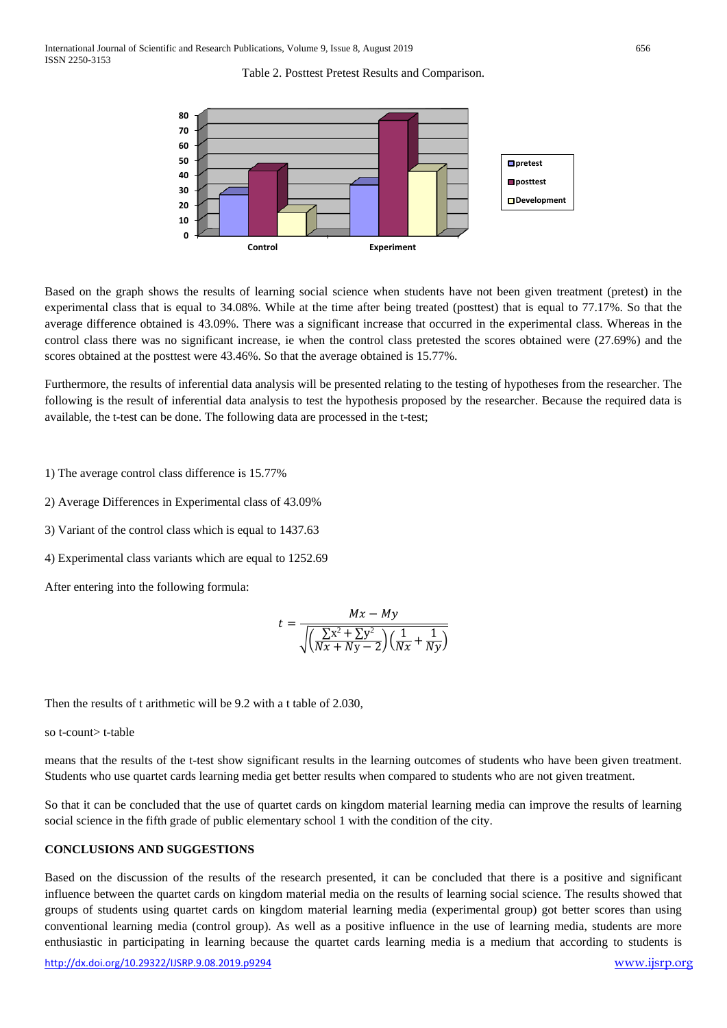Table 2. Posttest Pretest Results and Comparison.



Based on the graph shows the results of learning social science when students have not been given treatment (pretest) in the experimental class that is equal to 34.08%. While at the time after being treated (posttest) that is equal to 77.17%. So that the average difference obtained is 43.09%. There was a significant increase that occurred in the experimental class. Whereas in the control class there was no significant increase, ie when the control class pretested the scores obtained were (27.69%) and the scores obtained at the posttest were 43.46%. So that the average obtained is 15.77%.

Furthermore, the results of inferential data analysis will be presented relating to the testing of hypotheses from the researcher. The following is the result of inferential data analysis to test the hypothesis proposed by the researcher. Because the required data is available, the t-test can be done. The following data are processed in the t-test;

1) The average control class difference is 15.77%

2) Average Differences in Experimental class of 43.09%

3) Variant of the control class which is equal to 1437.63

4) Experimental class variants which are equal to 1252.69

After entering into the following formula:

$$
t = \frac{Mx - My}{\sqrt{\left(\frac{\sum x^2 + \sum y^2}{Nx + Ny - 2}\right)\left(\frac{1}{Nx} + \frac{1}{Ny}\right)}}
$$

Then the results of t arithmetic will be 9.2 with a t table of 2.030,

so t-count> t-table

means that the results of the t-test show significant results in the learning outcomes of students who have been given treatment. Students who use quartet cards learning media get better results when compared to students who are not given treatment.

So that it can be concluded that the use of quartet cards on kingdom material learning media can improve the results of learning social science in the fifth grade of public elementary school 1 with the condition of the city.

#### **CONCLUSIONS AND SUGGESTIONS**

Based on the discussion of the results of the research presented, it can be concluded that there is a positive and significant influence between the quartet cards on kingdom material media on the results of learning social science. The results showed that groups of students using quartet cards on kingdom material learning media (experimental group) got better scores than using conventional learning media (control group). As well as a positive influence in the use of learning media, students are more enthusiastic in participating in learning because the quartet cards learning media is a medium that according to students is